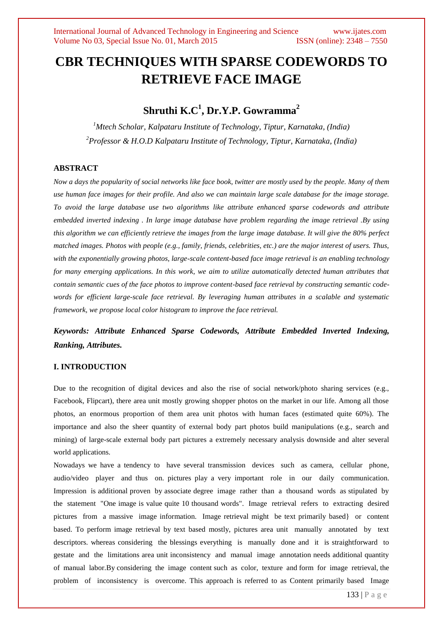# **CBR TECHNIQUES WITH SPARSE CODEWORDS TO RETRIEVE FACE IMAGE**

## **Shruthi K.C<sup>1</sup> , Dr.Y.P. Gowramma<sup>2</sup>**

*<sup>1</sup>Mtech Scholar, Kalpataru Institute of Technology, Tiptur, Karnataka, (India) <sup>2</sup>Professor & H.O.D Kalpataru Institute of Technology, Tiptur, Karnataka, (India)*

## **ABSTRACT**

*Now a days the popularity of social networks like face book, twitter are mostly used by the people. Many of them use human face images for their profile. And also we can maintain large scale database for the image storage. To avoid the large database use two algorithms like attribute enhanced sparse codewords and attribute embedded inverted indexing . In large image database have problem regarding the image retrieval .By using this algorithm we can efficiently retrieve the images from the large image database. It will give the 80% perfect matched images. Photos with people (e.g., family, friends, celebrities, etc.) are the major interest of users. Thus, with the exponentially growing photos, large-scale content-based face image retrieval is an enabling technology for many emerging applications. In this work, we aim to utilize automatically detected human attributes that contain semantic cues of the face photos to improve content-based face retrieval by constructing semantic codewords for efficient large-scale face retrieval. By leveraging human attributes in a scalable and systematic framework, we propose local color histogram to improve the face retrieval.*

*Keywords: Attribute Enhanced Sparse Codewords, Attribute Embedded Inverted Indexing, Ranking, Attributes.*

## **I. INTRODUCTION**

Due to the recognition of digital devices and also the rise of social network/photo sharing services (e.g., Facebook, Flipcart), there area unit mostly growing shopper photos on the market in our life. Among all those photos, an enormous proportion of them area unit photos with human faces (estimated quite 60%). The importance and also the sheer quantity of external body part photos build manipulations (e.g., search and mining) of large-scale external body part pictures a extremely necessary analysis downside and alter several world applications.

Nowadays we have a tendency to have several transmission devices such as camera, cellular phone, audio/video player and thus on. pictures play a very important role in our daily communication. Impression is additional proven by associate degree image rather than a thousand words as stipulated by the statement "One image is value quite 10 thousand words". Image retrieval refers to extracting desired pictures from a massive image information. Image retrieval might be text primarily based} or content based. To perform image retrieval by text based mostly, pictures area unit manually annotated by text descriptors. whereas considering the blessings everything is manually done and it is straightforward to gestate and the limitations area unit inconsistency and manual image annotation needs additional quantity of manual labor.By considering the image content such as color, texture and form for image retrieval, the problem of inconsistency is overcome. This approach is referred to as Content primarily based Image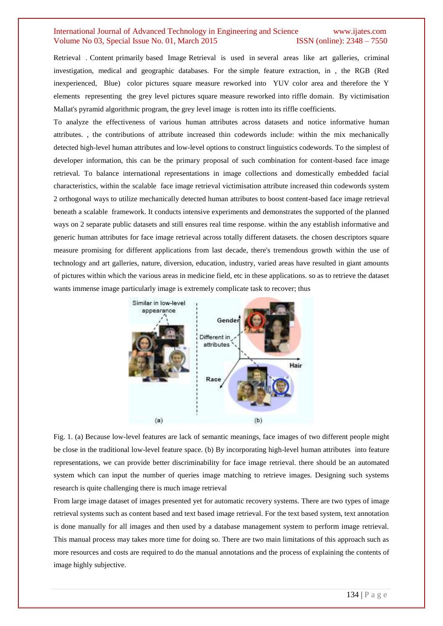Retrieval . Content primarily based Image Retrieval is used in several areas like art galleries, criminal investigation, medical and geographic databases. For the simple feature extraction, in , the RGB (Red inexperienced, Blue) color pictures square measure reworked into YUV color area and therefore the Y elements representing the grey level pictures square measure reworked into riffle domain. By victimisation Mallat's pyramid algorithmic program, the grey level image is rotten into its riffle coefficients.

To analyze the effectiveness of various human attributes across datasets and notice informative human attributes. , the contributions of attribute increased thin codewords include: within the mix mechanically detected high-level human attributes and low-level options to construct linguistics codewords. To the simplest of developer information, this can be the primary proposal of such combination for content-based face image retrieval. To balance international representations in image collections and domestically embedded facial characteristics, within the scalable face image retrieval victimisation attribute increased thin codewords system 2 orthogonal ways to utilize mechanically detected human attributes to boost content-based face image retrieval beneath a scalable framework. It conducts intensive experiments and demonstrates the supported of the planned ways on 2 separate public datasets and still ensures real time response. within the any establish informative and generic human attributes for face image retrieval across totally different datasets. the chosen descriptors square measure promising for different applications from last decade, there's tremendous growth within the use of technology and art galleries, nature, diversion, education, industry, varied areas have resulted in giant amounts of pictures within which the various areas in medicine field, etc in these applications. so as to retrieve the dataset wants immense image particularly image is extremely complicate task to recover; thus



Fig. 1. (a) Because low-level features are lack of semantic meanings, face images of two different people might be close in the traditional low-level feature space. (b) By incorporating high-level human attributes into feature representations, we can provide better discriminability for face image retrieval. there should be an automated system which can input the number of queries image matching to retrieve images. Designing such systems research is quite challenging there is much image retrieval

From large image dataset of images presented yet for automatic recovery systems. There are two types of image retrieval systems such as content based and text based image retrieval. For the text based system, text annotation is done manually for all images and then used by a database management system to perform image retrieval. This manual process may takes more time for doing so. There are two main limitations of this approach such as more resources and costs are required to do the manual annotations and the process of explaining the contents of image highly subjective.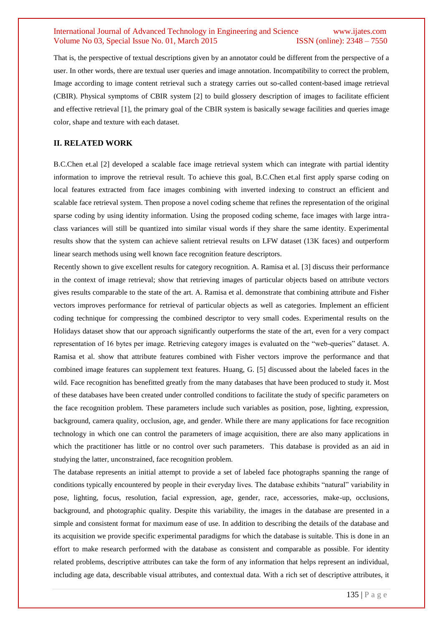That is, the perspective of textual descriptions given by an annotator could be different from the perspective of a user. In other words, there are textual user queries and image annotation. Incompatibility to correct the problem, Image according to image content retrieval such a strategy carries out so-called content-based image retrieval (CBIR). Physical symptoms of CBIR system [2] to build glossery description of images to facilitate efficient and effective retrieval [1], the primary goal of the CBIR system is basically sewage facilities and queries image color, shape and texture with each dataset.

## **II. RELATED WORK**

B.C.Chen et.al [2] developed a scalable face image retrieval system which can integrate with partial identity information to improve the retrieval result. To achieve this goal, B.C.Chen et.al first apply sparse coding on local features extracted from face images combining with inverted indexing to construct an efficient and scalable face retrieval system. Then propose a novel coding scheme that refines the representation of the original sparse coding by using identity information. Using the proposed coding scheme, face images with large intraclass variances will still be quantized into similar visual words if they share the same identity. Experimental results show that the system can achieve salient retrieval results on LFW dataset (13K faces) and outperform linear search methods using well known face recognition feature descriptors.

Recently shown to give excellent results for category recognition. A. Ramisa et al. [3] discuss their performance in the context of image retrieval; show that retrieving images of particular objects based on attribute vectors gives results comparable to the state of the art. A. Ramisa et al. demonstrate that combining attribute and Fisher vectors improves performance for retrieval of particular objects as well as categories. Implement an efficient coding technique for compressing the combined descriptor to very small codes. Experimental results on the Holidays dataset show that our approach significantly outperforms the state of the art, even for a very compact representation of 16 bytes per image. Retrieving category images is evaluated on the "web-queries" dataset. A. Ramisa et al. show that attribute features combined with Fisher vectors improve the performance and that combined image features can supplement text features. Huang, G. [5] discussed about the labeled faces in the wild. Face recognition has benefitted greatly from the many databases that have been produced to study it. Most of these databases have been created under controlled conditions to facilitate the study of specific parameters on the face recognition problem. These parameters include such variables as position, pose, lighting, expression, background, camera quality, occlusion, age, and gender. While there are many applications for face recognition technology in which one can control the parameters of image acquisition, there are also many applications in which the practitioner has little or no control over such parameters. This database is provided as an aid in studying the latter, unconstrained, face recognition problem.

The database represents an initial attempt to provide a set of labeled face photographs spanning the range of conditions typically encountered by people in their everyday lives. The database exhibits "natural" variability in pose, lighting, focus, resolution, facial expression, age, gender, race, accessories, make-up, occlusions, background, and photographic quality. Despite this variability, the images in the database are presented in a simple and consistent format for maximum ease of use. In addition to describing the details of the database and its acquisition we provide specific experimental paradigms for which the database is suitable. This is done in an effort to make research performed with the database as consistent and comparable as possible. For identity related problems, descriptive attributes can take the form of any information that helps represent an individual, including age data, describable visual attributes, and contextual data. With a rich set of descriptive attributes, it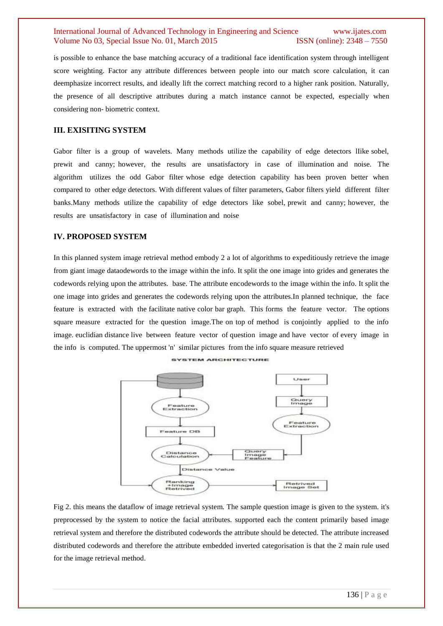is possible to enhance the base matching accuracy of a traditional face identification system through intelligent score weighting. Factor any attribute differences between people into our match score calculation, it can deemphasize incorrect results, and ideally lift the correct matching record to a higher rank position. Naturally, the presence of all descriptive attributes during a match instance cannot be expected, especially when considering non- biometric context.

#### **III. EXISITING SYSTEM**

Gabor filter is a group of wavelets. Many methods utilize the capability of edge detectors lIike sobel, prewit and canny; however, the results are unsatisfactory in case of illumination and noise. The algorithm utilizes the odd Gabor filter whose edge detection capability has been proven better when compared to other edge detectors. With different values of filter parameters, Gabor filters yield different filter banks.Many methods utilize the capability of edge detectors like sobel, prewit and canny; however, the results are unsatisfactory in case of illumination and noise

#### **IV. PROPOSED SYSTEM**

In this planned system image retrieval method embody 2 a lot of algorithms to expeditiously retrieve the image from giant image dataodewords to the image within the info. It split the one image into grides and generates the codewords relying upon the attributes. base. The attribute encodewords to the image within the info. It split the one image into grides and generates the codewords relying upon the attributes.In planned technique, the face feature is extracted with the facilitate native color bar graph. This forms the feature vector. The options square measure extracted for the question image.The on top of method is conjointly applied to the info image. euclidian distance live between feature vector of question image and have vector of every image in the info is computed. The uppermost 'n' similar pictures from the info square measure retrieved



Fig 2. this means the dataflow of image retrieval system. The sample question image is given to the system. it's preprocessed by the system to notice the facial attributes. supported each the content primarily based image retrieval system and therefore the distributed codewords the attribute should be detected. The attribute increased distributed codewords and therefore the attribute embedded inverted categorisation is that the 2 main rule used for the image retrieval method.

SYSTEM ARCHITECTURE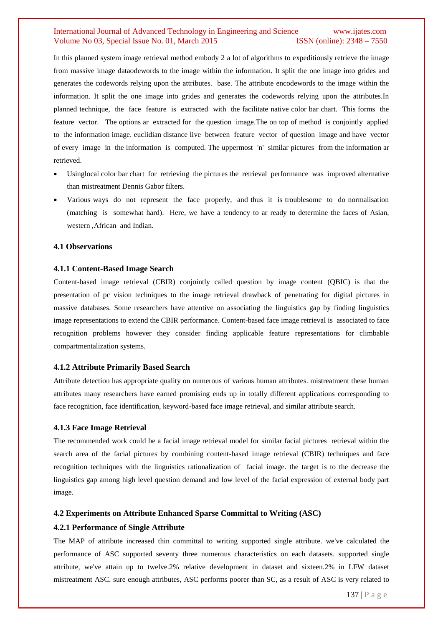In this planned system image retrieval method embody 2 a lot of algorithms to expeditiously retrieve the image from massive image dataodewords to the image within the information. It split the one image into grides and generates the codewords relying upon the attributes. base. The attribute encodewords to the image within the information. It split the one image into grides and generates the codewords relying upon the attributes.In planned technique, the face feature is extracted with the facilitate native color bar chart. This forms the feature vector. The options ar extracted for the question image.The on top of method is conjointly applied to the information image. euclidian distance live between feature vector of question image and have vector of every image in the information is computed. The uppermost 'n' similar pictures from the information ar retrieved.

- Usinglocal color bar chart for retrieving the pictures the retrieval performance was improved alternative than mistreatment Dennis Gabor filters.
- Various ways do not represent the face properly, and thus it is troublesome to do normalisation (matching is somewhat hard). Here, we have a tendency to ar ready to determine the faces of Asian, western ,African and Indian.

#### **4.1 Observations**

#### **4.1.1 Content-Based Image Search**

Content-based image retrieval (CBIR) conjointly called question by image content (QBIC) is that the presentation of pc vision techniques to the image retrieval drawback of penetrating for digital pictures in massive databases. Some researchers have attentive on associating the linguistics gap by finding linguistics image representations to extend the CBIR performance. Content-based face image retrieval is associated to face recognition problems however they consider finding applicable feature representations for climbable compartmentalization systems.

#### **4.1.2 Attribute Primarily Based Search**

Attribute detection has appropriate quality on numerous of various human attributes. mistreatment these human attributes many researchers have earned promising ends up in totally different applications corresponding to face recognition, face identification, keyword-based face image retrieval, and similar attribute search.

#### **4.1.3 Face Image Retrieval**

The recommended work could be a facial image retrieval model for similar facial pictures retrieval within the search area of the facial pictures by combining content-based image retrieval (CBIR) techniques and face recognition techniques with the linguistics rationalization of facial image. the target is to the decrease the linguistics gap among high level question demand and low level of the facial expression of external body part image.

#### **4.2 Experiments on Attribute Enhanced Sparse Committal to Writing (ASC)**

#### **4.2.1 Performance of Single Attribute**

The MAP of attribute increased thin committal to writing supported single attribute. we've calculated the performance of ASC supported seventy three numerous characteristics on each datasets. supported single attribute, we've attain up to twelve.2% relative development in dataset and sixteen.2% in LFW dataset mistreatment ASC. sure enough attributes, ASC performs poorer than SC, as a result of ASC is very related to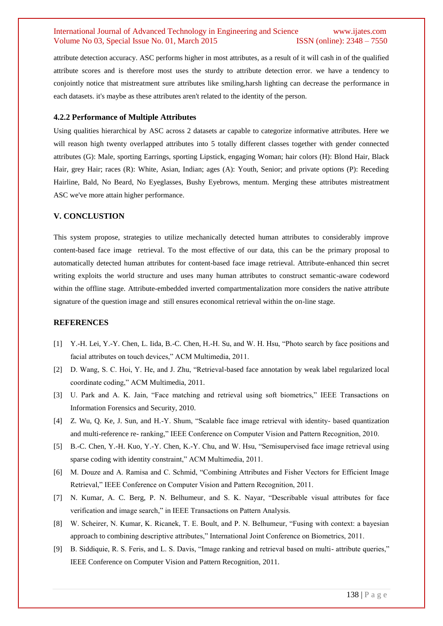attribute detection accuracy. ASC performs higher in most attributes, as a result of it will cash in of the qualified attribute scores and is therefore most uses the sturdy to attribute detection error. we have a tendency to conjointly notice that mistreatment sure attributes like smiling,harsh lighting can decrease the performance in each datasets. it's maybe as these attributes aren't related to the identity of the person.

#### **4.2.2 Performance of Multiple Attributes**

Using qualities hierarchical by ASC across 2 datasets ar capable to categorize informative attributes. Here we will reason high twenty overlapped attributes into 5 totally different classes together with gender connected attributes (G): Male, sporting Earrings, sporting Lipstick, engaging Woman; hair colors (H): Blond Hair, Black Hair, grey Hair; races (R): White, Asian, Indian; ages (A): Youth, Senior; and private options (P): Receding Hairline, Bald, No Beard, No Eyeglasses, Bushy Eyebrows, mentum. Merging these attributes mistreatment ASC we've more attain higher performance.

## **V. CONCLUSTION**

This system propose, strategies to utilize mechanically detected human attributes to considerably improve content-based face image retrieval. To the most effective of our data, this can be the primary proposal to automatically detected human attributes for content-based face image retrieval. Attribute-enhanced thin secret writing exploits the world structure and uses many human attributes to construct semantic-aware codeword within the offline stage. Attribute-embedded inverted compartmentalization more considers the native attribute signature of the question image and still ensures economical retrieval within the on-line stage.

#### **REFERENCES**

- [1] Y.-H. Lei, Y.-Y. Chen, L. Iida, B.-C. Chen, H.-H. Su, and W. H. Hsu, "Photo search by face positions and facial attributes on touch devices," ACM Multimedia, 2011.
- [2] D. Wang, S. C. Hoi, Y. He, and J. Zhu, "Retrieval-based face annotation by weak label regularized local coordinate coding," ACM Multimedia, 2011.
- [3] U. Park and A. K. Jain, "Face matching and retrieval using soft biometrics," IEEE Transactions on Information Forensics and Security, 2010.
- [4] Z. Wu, Q. Ke, J. Sun, and H.-Y. Shum, "Scalable face image retrieval with identity- based quantization and multi-reference re- ranking," IEEE Conference on Computer Vision and Pattern Recognition, 2010.
- [5] B.-C. Chen, Y.-H. Kuo, Y.-Y. Chen, K.-Y. Chu, and W. Hsu, "Semisupervised face image retrieval using sparse coding with identity constraint," ACM Multimedia, 2011.
- [6] M. Douze and A. Ramisa and C. Schmid, "Combining Attributes and Fisher Vectors for Efficient Image Retrieval," IEEE Conference on Computer Vision and Pattern Recognition, 2011.
- [7] N. Kumar, A. C. Berg, P. N. Belhumeur, and S. K. Nayar, "Describable visual attributes for face verification and image search," in IEEE Transactions on Pattern Analysis.
- [8] W. Scheirer, N. Kumar, K. Ricanek, T. E. Boult, and P. N. Belhumeur, "Fusing with context: a bayesian approach to combining descriptive attributes," International Joint Conference on Biometrics, 2011.
- [9] B. Siddiquie, R. S. Feris, and L. S. Davis, "Image ranking and retrieval based on multi- attribute queries," IEEE Conference on Computer Vision and Pattern Recognition, 2011.